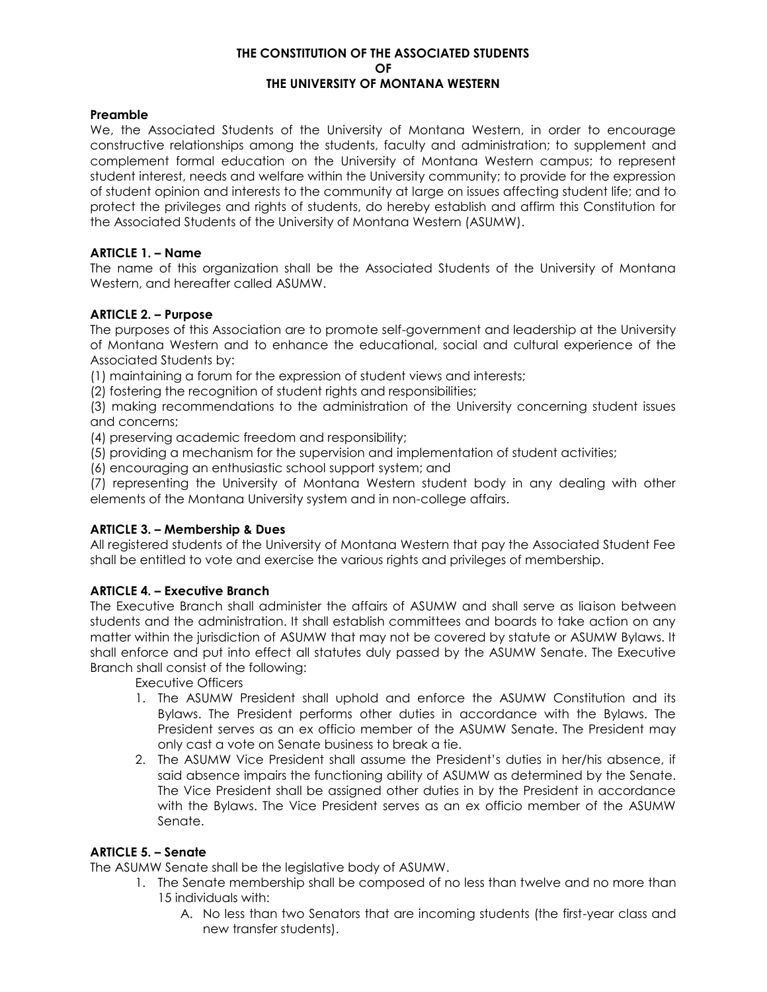#### **THE CONSTITUTION OF THE ASSOCIATED STUDENTS OF THE UNIVERSITY OF MONTANA WESTERN**

### **Preamble**

We, the Associated Students of the University of Montana Western, in order to encourage constructive relationships among the students, faculty and administration; to supplement and complement formal education on the University of Montana Western campus; to represent student interest, needs and welfare within the University community; to provide for the expression of student opinion and interests to the community at large on issues affecting student life; and to protect the privileges and rights of students, do hereby establish and affirm this Constitution for the Associated Students of the University of Montana Western (ASUMW).

### **ARTICLE 1. – Name**

The name of this organization shall be the Associated Students of the University of Montana Western, and hereafter called ASUMW.

### **ARTICLE 2. – Purpose**

The purposes of this Association are to promote self-government and leadership at the University of Montana Western and to enhance the educational, social and cultural experience of the Associated Students by:

(1) maintaining a forum for the expression of student views and interests;

(2) fostering the recognition of student rights and responsibilities;

(3) making recommendations to the administration of the University concerning student issues and concerns;

(4) preserving academic freedom and responsibility;

(5) providing a mechanism for the supervision and implementation of student activities;

(6) encouraging an enthusiastic school support system; and

(7) representing the University of Montana Western student body in any dealing with other elements of the Montana University system and in non-college affairs.

## **ARTICLE 3. – Membership & Dues**

All registered students of the University of Montana Western that pay the Associated Student Fee shall be entitled to vote and exercise the various rights and privileges of membership.

## **ARTICLE 4. – Executive Branch**

The Executive Branch shall administer the affairs of ASUMW and shall serve as liaison between students and the administration. It shall establish committees and boards to take action on any matter within the jurisdiction of ASUMW that may not be covered by statute or ASUMW Bylaws. It shall enforce and put into effect all statutes duly passed by the ASUMW Senate. The Executive Branch shall consist of the following:

Executive Officers

- 1. The ASUMW President shall uphold and enforce the ASUMW Constitution and its Bylaws. The President performs other duties in accordance with the Bylaws. The President serves as an ex officio member of the ASUMW Senate. The President may only cast a vote on Senate business to break a tie.
- 2. The ASUMW Vice President shall assume the President's duties in her/his absence, if said absence impairs the functioning ability of ASUMW as determined by the Senate. The Vice President shall be assigned other duties in by the President in accordance with the Bylaws. The Vice President serves as an ex officio member of the ASUMW Senate.

# **ARTICLE 5. – Senate**

The ASUMW Senate shall be the legislative body of ASUMW.

- 1. The Senate membership shall be composed of no less than twelve and no more than 15 individuals with:
	- A. No less than two Senators that are incoming students (the first-year class and new transfer students).